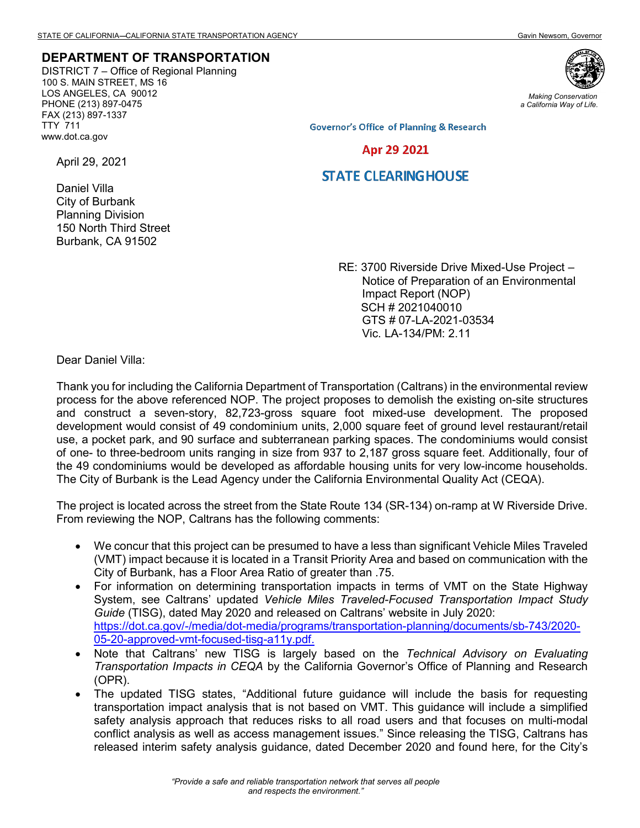## **DEPARTMENT OF TRANSPORTATION**

DISTRICT 7 – Office of Regional Planning 100 S. MAIN STREET, MS 16 LOS ANGELES, CA 90012 PHONE (213) 897-0475 FAX (213) 897-1337 TTY 711 www.dot.ca.gov



*Making Conservation a California Way of Life.*

**Governor's Office of Planning & Research** 

## Apr 29 2021

## **STATE CLEARING HOUSE**

Daniel Villa City of Burbank Planning Division 150 North Third Street Burbank, CA 91502

April 29, 2021

RE: 3700 Riverside Drive Mixed-Use Project – Notice of Preparation of an Environmental Impact Report (NOP) SCH # 2021040010 GTS # 07-LA-2021-03534 Vic. LA-134/PM: 2.11

Dear Daniel Villa:

Thank you for including the California Department of Transportation (Caltrans) in the environmental review process for the above referenced NOP. The project proposes to demolish the existing on-site structures and construct a seven-story, 82,723-gross square foot mixed-use development. The proposed development would consist of 49 condominium units, 2,000 square feet of ground level restaurant/retail use, a pocket park, and 90 surface and subterranean parking spaces. The condominiums would consist of one- to three-bedroom units ranging in size from 937 to 2,187 gross square feet. Additionally, four of the 49 condominiums would be developed as affordable housing units for very low-income households. The City of Burbank is the Lead Agency under the California Environmental Quality Act (CEQA).

The project is located across the street from the State Route 134 (SR-134) on-ramp at W Riverside Drive. From reviewing the NOP, Caltrans has the following comments:

- We concur that this project can be presumed to have a less than significant Vehicle Miles Traveled (VMT) impact because it is located in a Transit Priority Area and based on communication with the City of Burbank, has a Floor Area Ratio of greater than .75.
- For information on determining transportation impacts in terms of VMT on the State Highway System, see Caltrans' updated *Vehicle Miles Traveled-Focused Transportation Impact Study Guide* (TISG), dated May 2020 and released on Caltrans' website in July 2020: [https://dot.ca.gov/-/media/dot-media/programs/transportation-planning/documents/sb-743/2020-](https://dot.ca.gov/-/media/dot-media/programs/transportation-planning/documents/sb-743/2020-05-20-approved-vmt-focused-tisg-a11y.pdf) [05-20-approved-vmt-focused-tisg-a11y.pdf.](https://dot.ca.gov/-/media/dot-media/programs/transportation-planning/documents/sb-743/2020-05-20-approved-vmt-focused-tisg-a11y.pdf)
- Note that Caltrans' new TISG is largely based on the *Technical Advisory on Evaluating Transportation Impacts in CEQA* by the California Governor's Office of Planning and Research (OPR).
- The updated TISG states, "Additional future guidance will include the basis for requesting transportation impact analysis that is not based on VMT. This guidance will include a simplified safety analysis approach that reduces risks to all road users and that focuses on multi-modal conflict analysis as well as access management issues." Since releasing the TISG, Caltrans has released interim safety analysis guidance, dated December 2020 and found here, for the City's